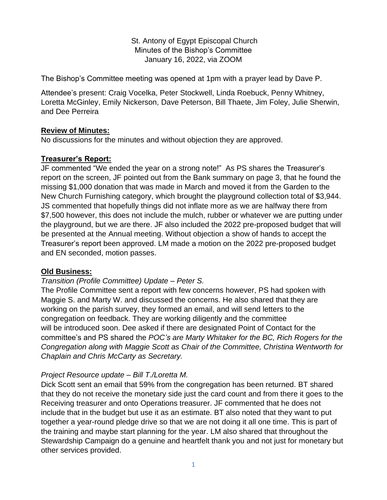St. Antony of Egypt Episcopal Church Minutes of the Bishop's Committee January 16, 2022, via ZOOM

The Bishop's Committee meeting was opened at 1pm with a prayer lead by Dave P.

Attendee's present: Craig Vocelka, Peter Stockwell, Linda Roebuck, Penny Whitney, Loretta McGinley, Emily Nickerson, Dave Peterson, Bill Thaete, Jim Foley, Julie Sherwin, and Dee Perreira

### **Review of Minutes:**

No discussions for the minutes and without objection they are approved.

### **Treasurer's Report:**

JF commented "We ended the year on a strong note!" As PS shares the Treasurer's report on the screen, JF pointed out from the Bank summary on page 3, that he found the missing \$1,000 donation that was made in March and moved it from the Garden to the New Church Furnishing category, which brought the playground collection total of \$3,944. JS commented that hopefully things did not inflate more as we are halfway there from \$7,500 however, this does not include the mulch, rubber or whatever we are putting under the playground, but we are there. JF also included the 2022 pre-proposed budget that will be presented at the Annual meeting. Without objection a show of hands to accept the Treasurer's report been approved. LM made a motion on the 2022 pre-proposed budget and EN seconded, motion passes.

#### **Old Business:**

#### *Transition (Profile Committee) Update – Peter S.*

The Profile Committee sent a report with few concerns however, PS had spoken with Maggie S. and Marty W. and discussed the concerns. He also shared that they are working on the parish survey, they formed an email, and will send letters to the congregation on feedback. They are working diligently and the committee will be introduced soon. Dee asked if there are designated Point of Contact for the committee's and PS shared the *POC's are Marty Whitaker for the BC, Rich Rogers for the Congregation along with Maggie Scott as Chair of the Committee, Christina Wentworth for Chaplain and Chris McCarty as Secretary.*

## *Project Resource update – Bill T./Loretta M.*

Dick Scott sent an email that 59% from the congregation has been returned. BT shared that they do not receive the monetary side just the card count and from there it goes to the Receiving treasurer and onto Operations treasurer. JF commented that he does not include that in the budget but use it as an estimate. BT also noted that they want to put together a year-round pledge drive so that we are not doing it all one time. This is part of the training and maybe start planning for the year. LM also shared that throughout the Stewardship Campaign do a genuine and heartfelt thank you and not just for monetary but other services provided.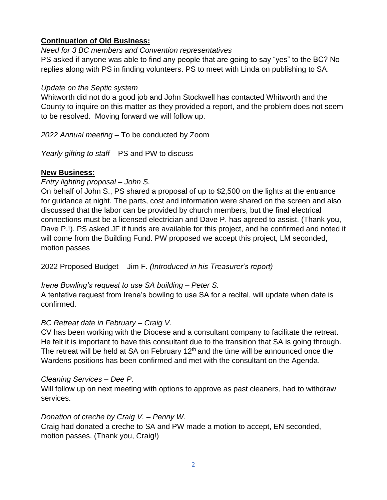## **Continuation of Old Business:**

*Need for 3 BC members and Convention representatives* PS asked if anyone was able to find any people that are going to say "yes" to the BC? No replies along with PS in finding volunteers. PS to meet with Linda on publishing to SA.

## *Update on the Septic system*

Whitworth did not do a good job and John Stockwell has contacted Whitworth and the County to inquire on this matter as they provided a report, and the problem does not seem to be resolved. Moving forward we will follow up.

*2022 Annual meeting –* To be conducted by Zoom

*Yearly gifting to staff –* PS and PW to discuss

# **New Business:**

## *Entry lighting proposal – John S.*

On behalf of John S., PS shared a proposal of up to \$2,500 on the lights at the entrance for guidance at night. The parts, cost and information were shared on the screen and also discussed that the labor can be provided by church members, but the final electrical connections must be a licensed electrician and Dave P. has agreed to assist. (Thank you, Dave P.!). PS asked JF if funds are available for this project, and he confirmed and noted it will come from the Building Fund. PW proposed we accept this project, LM seconded, motion passes

2022 Proposed Budget – Jim F. *(Introduced in his Treasurer's report)*

## *Irene Bowling's request to use SA building – Peter S.*

A tentative request from Irene's bowling to use SA for a recital, will update when date is confirmed.

# *BC Retreat date in February – Craig V.*

CV has been working with the Diocese and a consultant company to facilitate the retreat. He felt it is important to have this consultant due to the transition that SA is going through. The retreat will be held at SA on February  $12<sup>th</sup>$  and the time will be announced once the Wardens positions has been confirmed and met with the consultant on the Agenda.

# *Cleaning Services – Dee P.*

Will follow up on next meeting with options to approve as past cleaners, had to withdraw services.

# *Donation of creche by Craig V. – Penny W.*

Craig had donated a creche to SA and PW made a motion to accept, EN seconded, motion passes. (Thank you, Craig!)